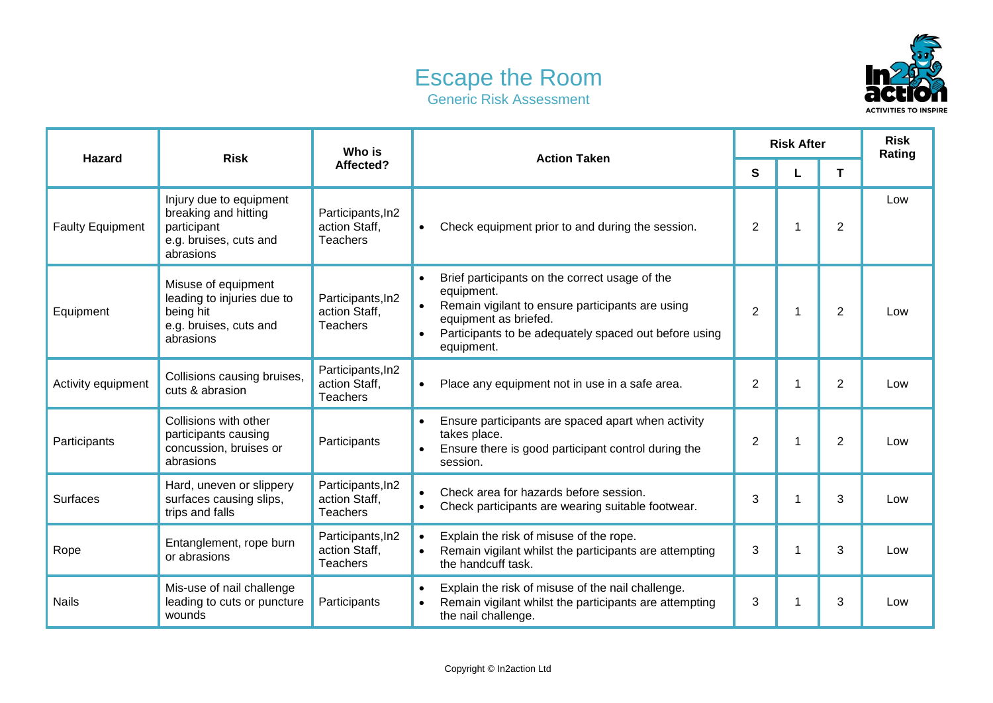## **Escape the Room** Generic Risk Assessment



| <b>Hazard</b>           | <b>Risk</b>                                                                                           | Who is<br>Affected?                                   | <b>Action Taken</b>                                                                                                                                                                                                           | <b>Risk After</b> |   |                | <b>Risk</b><br>Rating |
|-------------------------|-------------------------------------------------------------------------------------------------------|-------------------------------------------------------|-------------------------------------------------------------------------------------------------------------------------------------------------------------------------------------------------------------------------------|-------------------|---|----------------|-----------------------|
|                         |                                                                                                       |                                                       |                                                                                                                                                                                                                               | S                 | L | Τ              |                       |
| <b>Faulty Equipment</b> | Injury due to equipment<br>breaking and hitting<br>participant<br>e.g. bruises, cuts and<br>abrasions | Participants, In2<br>action Staff,<br><b>Teachers</b> | Check equipment prior to and during the session.<br>$\bullet$                                                                                                                                                                 | $\overline{2}$    | 1 | $\overline{2}$ | Low                   |
| Equipment               | Misuse of equipment<br>leading to injuries due to<br>being hit<br>e.g. bruises, cuts and<br>abrasions | Participants, In2<br>action Staff,<br><b>Teachers</b> | Brief participants on the correct usage of the<br>$\bullet$<br>equipment.<br>Remain vigilant to ensure participants are using<br>equipment as briefed.<br>Participants to be adequately spaced out before using<br>equipment. | $\overline{2}$    | 1 | $\overline{2}$ | Low                   |
| Activity equipment      | Collisions causing bruises,<br>cuts & abrasion                                                        | Participants, In2<br>action Staff,<br><b>Teachers</b> | Place any equipment not in use in a safe area.<br>$\bullet$                                                                                                                                                                   | $\overline{2}$    | 1 | $\overline{2}$ | Low                   |
| Participants            | Collisions with other<br>participants causing<br>concussion, bruises or<br>abrasions                  | Participants                                          | Ensure participants are spaced apart when activity<br>$\bullet$<br>takes place.<br>Ensure there is good participant control during the<br>session.                                                                            | $\overline{2}$    | 1 | $\mathbf{2}$   | Low                   |
| <b>Surfaces</b>         | Hard, uneven or slippery<br>surfaces causing slips,<br>trips and falls                                | Participants, In2<br>action Staff,<br><b>Teachers</b> | Check area for hazards before session.<br>$\bullet$<br>Check participants are wearing suitable footwear.                                                                                                                      | 3                 | 1 | 3              | Low                   |
| Rope                    | Entanglement, rope burn<br>or abrasions                                                               | Participants, In2<br>action Staff,<br><b>Teachers</b> | Explain the risk of misuse of the rope.<br>Remain vigilant whilst the participants are attempting<br>the handcuff task.                                                                                                       | 3                 | 1 | 3              | Low                   |
| <b>Nails</b>            | Mis-use of nail challenge<br>leading to cuts or puncture<br>wounds                                    | Participants                                          | Explain the risk of misuse of the nail challenge.<br>$\bullet$<br>Remain vigilant whilst the participants are attempting<br>the nail challenge.                                                                               | 3                 | 1 | 3              | Low                   |